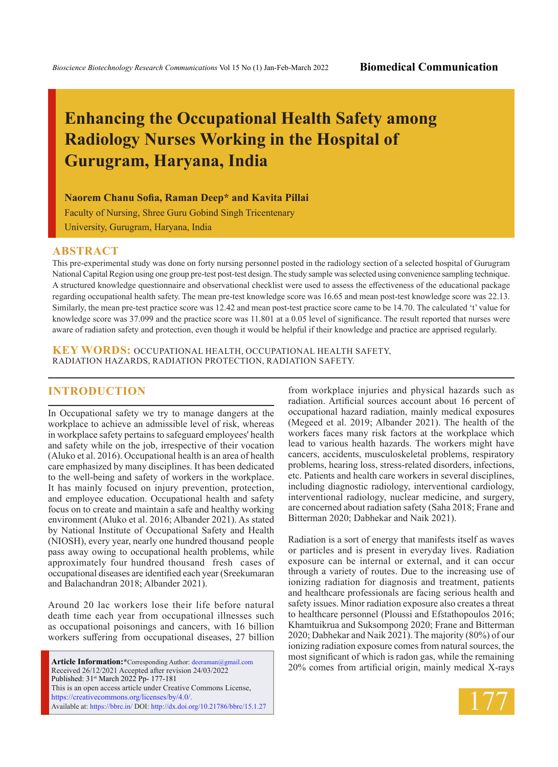# **Enhancing the Occupational Health Safety among Radiology Nurses Working in the Hospital of Gurugram, Haryana, India**

**Naorem Chanu Sofia, Raman Deep\* and Kavita Pillai**

Faculty of Nursing, Shree Guru Gobind Singh Tricentenary University, Gurugram, Haryana, India

#### **ABSTRACT**

This pre-experimental study was done on forty nursing personnel posted in the radiology section of a selected hospital of Gurugram National Capital Region using one group pre-test post-test design. The study sample was selected using convenience sampling technique. A structured knowledge questionnaire and observational checklist were used to assess the effectiveness of the educational package regarding occupational health safety. The mean pre-test knowledge score was 16.65 and mean post-test knowledge score was 22.13. Similarly, the mean pre-test practice score was 12.42 and mean post-test practice score came to be 14.70. The calculated 't' value for knowledge score was 37.099 and the practice score was 11.801 at a 0.05 level of significance. The result reported that nurses were aware of radiation safety and protection, even though it would be helpful if their knowledge and practice are apprised regularly.

**KEY WORDS:** Occupational health, occupational health safety, radiation hazards, radiation protection, radiation safety.

### **INTRODUCTION**

In Occupational safety we try to manage dangers at the workplace to achieve an admissible level of risk, whereas in workplace safety pertains to safeguard employees' health and safety while on the job, irrespective of their vocation (Aluko et al. 2016). Occupational health is an area of health care emphasized by many disciplines. It has been dedicated to the well-being and safety of workers in the workplace. It has mainly focused on injury prevention, protection, and employee education. Occupational health and safety focus on to create and maintain a safe and healthy working environment (Aluko et al. 2016; Albander 2021). As stated by National Institute of Occupational Safety and Health (NIOSH), every year, nearly one hundred thousand people pass away owing to occupational health problems, while approximately four hundred thousand fresh cases of occupational diseases are identified each year (Sreekumaran and Balachandran 2018; Albander 2021).

Around 20 lac workers lose their life before natural death time each year from occupational illnesses such as occupational poisonings and cancers, with 16 billion workers suffering from occupational diseases, 27 billion

**Article Information:\***Corresponding Author: deeraman@gmail.com Received 26/12/2021 Accepted after revision 24/03/2022 Published: 31st March 2022 Pp- 177-181 This is an open access article under Creative Commons License, https://creativecommons.org/licenses/by/4.0/. Available at: https://bbrc.in/ DOI: http://dx.doi.org/10.21786/bbrc/15.1.27 from workplace injuries and physical hazards such as radiation. Artificial sources account about 16 percent of occupational hazard radiation, mainly medical exposures (Megeed et al. 2019; Albander 2021). The health of the workers faces many risk factors at the workplace which lead to various health hazards. The workers might have cancers, accidents, musculoskeletal problems, respiratory problems, hearing loss, stress-related disorders, infections, etc. Patients and health care workers in several disciplines, including diagnostic radiology, interventional cardiology, interventional radiology, nuclear medicine, and surgery, are concerned about radiation safety (Saha 2018; Frane and Bitterman 2020; Dabhekar and Naik 2021).

Radiation is a sort of energy that manifests itself as waves or particles and is present in everyday lives. Radiation exposure can be internal or external, and it can occur through a variety of routes. Due to the increasing use of ionizing radiation for diagnosis and treatment, patients and healthcare professionals are facing serious health and safety issues. Minor radiation exposure also creates a threat to healthcare personnel (Ploussi and Efstathopoulos 2016; Khamtuikrua and Suksompong 2020; Frane and Bitterman 2020; Dabhekar and Naik 2021). The majority (80%) of our ionizing radiation exposure comes from natural sources, the most significant of which is radon gas, while the remaining 20% comes from artificial origin, mainly medical X-rays

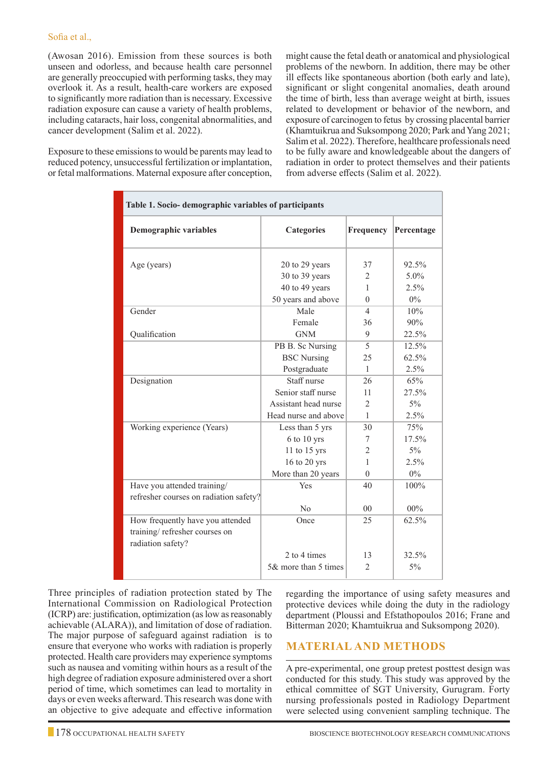(Awosan 2016). Emission from these sources is both unseen and odorless, and because health care personnel are generally preoccupied with performing tasks, they may overlook it. As a result, health-care workers are exposed to significantly more radiation than is necessary. Excessive radiation exposure can cause a variety of health problems, including cataracts, hair loss, congenital abnormalities, and cancer development (Salim et al. 2022).

Exposure to these emissions to would be parents may lead to reduced potency, unsuccessful fertilization or implantation, or fetal malformations. Maternal exposure after conception, might cause the fetal death or anatomical and physiological problems of the newborn. In addition, there may be other ill effects like spontaneous abortion (both early and late), significant or slight congenital anomalies, death around the time of birth, less than average weight at birth, issues related to development or behavior of the newborn, and exposure of carcinogen to fetus by crossing placental barrier (Khamtuikrua and Suksompong 2020; Park and Yang 2021; Salim et al. 2022). Therefore, healthcare professionals need to be fully aware and knowledgeable about the dangers of radiation in order to protect themselves and their patients from adverse effects (Salim et al. 2022).

| Table 1. Socio- demographic variables of participants                                  |                                                        |                           |                          |  |  |  |  |  |  |
|----------------------------------------------------------------------------------------|--------------------------------------------------------|---------------------------|--------------------------|--|--|--|--|--|--|
| Demographic variables                                                                  | <b>Categories</b>                                      | Frequency                 | Percentage               |  |  |  |  |  |  |
| Age (years)                                                                            | 20 to 29 years<br>30 to 39 years<br>40 to 49 years     | 37<br>$\overline{c}$<br>1 | 92.5%<br>$5.0\%$<br>2.5% |  |  |  |  |  |  |
|                                                                                        | 50 years and above                                     | $\Omega$                  | $0\%$                    |  |  |  |  |  |  |
| Gender                                                                                 | Male<br>Female                                         | $\overline{4}$<br>36      | 10%<br>90%               |  |  |  |  |  |  |
| Oualification                                                                          | <b>GNM</b>                                             | 9                         | 22.5%                    |  |  |  |  |  |  |
|                                                                                        | PB B. Sc Nursing<br><b>BSC</b> Nursing<br>Postgraduate | 5<br>25<br>$\mathbf{1}$   | 12.5%<br>62.5%<br>2.5%   |  |  |  |  |  |  |
| Designation                                                                            | Staff nurse                                            | 26                        | 65%                      |  |  |  |  |  |  |
|                                                                                        | Senior staff nurse                                     | 11                        | 27.5%                    |  |  |  |  |  |  |
|                                                                                        | Assistant head nurse                                   | $\overline{2}$            | $5\%$                    |  |  |  |  |  |  |
|                                                                                        | Head nurse and above                                   | 1                         | 2.5%                     |  |  |  |  |  |  |
| Working experience (Years)                                                             | Less than 5 yrs                                        | 30                        | 75%                      |  |  |  |  |  |  |
|                                                                                        | 6 to 10 yrs                                            | 7                         | 17.5%                    |  |  |  |  |  |  |
|                                                                                        | 11 to 15 yrs                                           | $\overline{2}$            | $5\%$                    |  |  |  |  |  |  |
|                                                                                        | 16 to 20 yrs                                           | 1                         | 2.5%                     |  |  |  |  |  |  |
|                                                                                        | More than 20 years                                     | $\Omega$                  | $0\%$                    |  |  |  |  |  |  |
| Have you attended training/<br>refresher courses on radiation safety?                  | Yes                                                    | 40                        | 100%                     |  |  |  |  |  |  |
|                                                                                        | No                                                     | 0 <sub>0</sub>            | $00\%$                   |  |  |  |  |  |  |
| How frequently have you attended<br>training/refresher courses on<br>radiation safety? | Once                                                   | 25                        | 62.5%                    |  |  |  |  |  |  |
|                                                                                        | 2 to 4 times                                           | 13                        | 32.5%                    |  |  |  |  |  |  |
|                                                                                        | 5& more than 5 times                                   | $\overline{2}$            | $5\%$                    |  |  |  |  |  |  |

Three principles of radiation protection stated by The International Commission on Radiological Protection (ICRP) are: justification, optimization (as low as reasonably achievable (ALARA)), and limitation of dose of radiation. The major purpose of safeguard against radiation is to ensure that everyone who works with radiation is properly protected. Health care providers may experience symptoms such as nausea and vomiting within hours as a result of the high degree of radiation exposure administered over a short period of time, which sometimes can lead to mortality in days or even weeks afterward. This research was done with an objective to give adequate and effective information regarding the importance of using safety measures and protective devices while doing the duty in the radiology department (Ploussi and Efstathopoulos 2016; Frane and Bitterman 2020; Khamtuikrua and Suksompong 2020).

# **Material and Methods**

A pre-experimental, one group pretest posttest design was conducted for this study. This study was approved by the ethical committee of SGT University, Gurugram. Forty nursing professionals posted in Radiology Department were selected using convenient sampling technique. The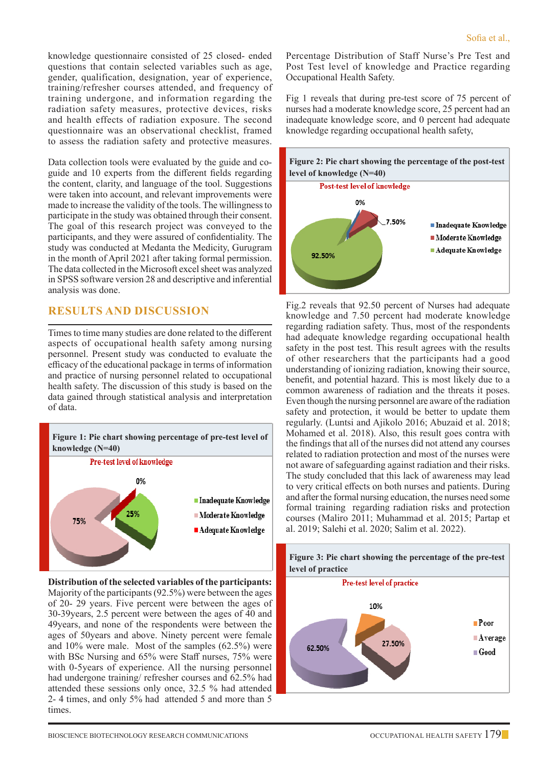knowledge questionnaire consisted of 25 closed- ended questions that contain selected variables such as age, gender, qualification, designation, year of experience, training/refresher courses attended, and frequency of training undergone, and information regarding the radiation safety measures, protective devices, risks and health effects of radiation exposure. The second questionnaire was an observational checklist, framed to assess the radiation safety and protective measures.

Data collection tools were evaluated by the guide and coguide and 10 experts from the different fields regarding the content, clarity, and language of the tool. Suggestions were taken into account, and relevant improvements were made to increase the validity of the tools. The willingness to participate in the study was obtained through their consent. The goal of this research project was conveyed to the participants, and they were assured of confidentiality. The study was conducted at Medanta the Medicity, Gurugram in the month of April 2021 after taking formal permission. The data collected in the Microsoft excel sheet was analyzed in SPSS software version 28 and descriptive and inferential analysis was done.

# **Results and Discussion**

Times to time many studies are done related to the different aspects of occupational health safety among nursing personnel. Present study was conducted to evaluate the efficacy of the educational package in terms of information and practice of nursing personnel related to occupational health safety. The discussion of this study is based on the data gained through statistical analysis and interpretation of data.



**Distribution of the selected variables of the participants:** Majority of the participants (92.5%) were between the ages of 20- 29 years. Five percent were between the ages of 30-39years, 2.5 percent were between the ages of 40 and 49years, and none of the respondents were between the ages of 50years and above. Ninety percent were female and 10% were male. Most of the samples (62.5%) were with BSc Nursing and 65% were Staff nurses, 75% were with 0-5years of experience. All the nursing personnel had undergone training/ refresher courses and 62.5% had attended these sessions only once, 32.5 % had attended 2- 4 times, and only 5% had attended 5 and more than 5 times.

Percentage Distribution of Staff Nurse's Pre Test and Post Test level of knowledge and Practice regarding Occupational Health Safety.

Fig 1 reveals that during pre-test score of 75 percent of nurses had a moderate knowledge score, 25 percent had an inadequate knowledge score, and 0 percent had adequate knowledge regarding occupational health safety,



Fig.2 reveals that 92.50 percent of Nurses had adequate knowledge and 7.50 percent had moderate knowledge regarding radiation safety. Thus, most of the respondents had adequate knowledge regarding occupational health safety in the post test. This result agrees with the results of other researchers that the participants had a good understanding of ionizing radiation, knowing their source, benefit, and potential hazard. This is most likely due to a common awareness of radiation and the threats it poses. Even though the nursing personnel are aware of the radiation safety and protection, it would be better to update them regularly. (Luntsi and Ajikolo 2016; Abuzaid et al. 2018; Mohamed et al. 2018). Also, this result goes contra with the findings that all of the nurses did not attend any courses related to radiation protection and most of the nurses were not aware of safeguarding against radiation and their risks. The study concluded that this lack of awareness may lead to very critical effects on both nurses and patients. During and after the formal nursing education, the nurses need some formal training regarding radiation risks and protection courses (Maliro 2011; Muhammad et al. 2015; Partap et al. 2019; Salehi et al. 2020; Salim et al. 2022).

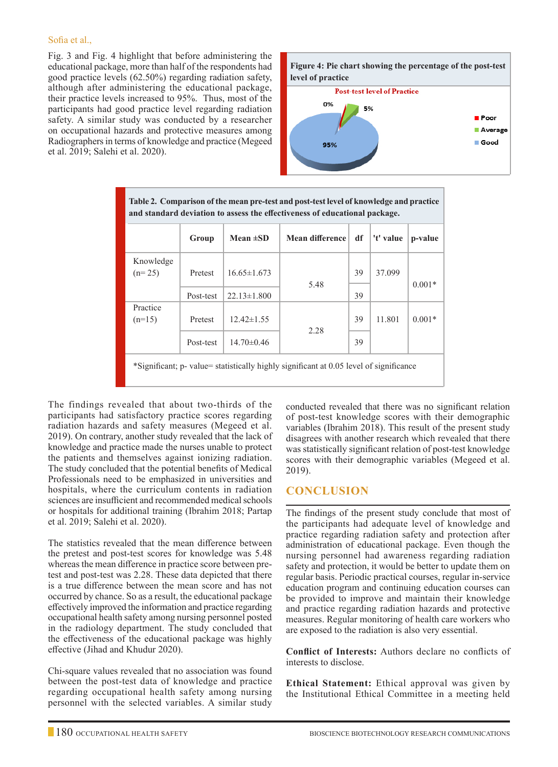#### Sofia et al.,

Fig. 3 and Fig. 4 highlight that before administering the educational package, more than half of the respondents had good practice levels (62.50%) regarding radiation safety, although after administering the educational package, their practice levels increased to 95%. Thus, most of the participants had good practice level regarding radiation safety. A similar study was conducted by a researcher on occupational hazards and protective measures among Radiographers in terms of knowledge and practice (Megeed et al. 2019; Salehi et al. 2020).



| Table 2. Comparison of the mean pre-test and post-test level of knowledge and practice<br>and standard deviation to assess the effectiveness of educational package. |           |                   |                 |    |           |          |  |  |  |
|----------------------------------------------------------------------------------------------------------------------------------------------------------------------|-----------|-------------------|-----------------|----|-----------|----------|--|--|--|
|                                                                                                                                                                      | Group     | Mean $\pm SD$     | Mean difference | df | 't' value | p-value  |  |  |  |
| Knowledge<br>$(n=25)$                                                                                                                                                | Pretest   | $16.65 \pm 1.673$ | 5.48            | 39 | 37.099    | $0.001*$ |  |  |  |
|                                                                                                                                                                      | Post-test | $22.13 \pm 1.800$ |                 | 39 |           |          |  |  |  |
| Practice<br>$(n=15)$                                                                                                                                                 | Pretest   | $12.42 \pm 1.55$  | 2.28            | 39 | 11.801    | $0.001*$ |  |  |  |
|                                                                                                                                                                      | Post-test | $14.70 \pm 0.46$  |                 | 39 |           |          |  |  |  |
| *Significant; p- value= statistically highly significant at 0.05 level of significance                                                                               |           |                   |                 |    |           |          |  |  |  |

The findings revealed that about two-thirds of the participants had satisfactory practice scores regarding radiation hazards and safety measures (Megeed et al. 2019). On contrary, another study revealed that the lack of knowledge and practice made the nurses unable to protect the patients and themselves against ionizing radiation. The study concluded that the potential benefits of Medical Professionals need to be emphasized in universities and hospitals, where the curriculum contents in radiation sciences are insufficient and recommended medical schools or hospitals for additional training (Ibrahim 2018; Partap et al. 2019; Salehi et al. 2020).

The statistics revealed that the mean difference between the pretest and post-test scores for knowledge was 5.48 whereas the mean difference in practice score between pretest and post-test was 2.28. These data depicted that there is a true difference between the mean score and has not occurred by chance. So as a result, the educational package effectively improved the information and practice regarding occupational health safety among nursing personnel posted in the radiology department. The study concluded that the effectiveness of the educational package was highly effective (Jihad and Khudur 2020).

Chi-square values revealed that no association was found between the post-test data of knowledge and practice regarding occupational health safety among nursing personnel with the selected variables. A similar study conducted revealed that there was no significant relation of post-test knowledge scores with their demographic variables (Ibrahim 2018). This result of the present study disagrees with another research which revealed that there was statistically significant relation of post-test knowledge scores with their demographic variables (Megeed et al. 2019).

## **Conclusion**

The findings of the present study conclude that most of the participants had adequate level of knowledge and practice regarding radiation safety and protection after administration of educational package. Even though the nursing personnel had awareness regarding radiation safety and protection, it would be better to update them on regular basis. Periodic practical courses, regular in-service education program and continuing education courses can be provided to improve and maintain their knowledge and practice regarding radiation hazards and protective measures. Regular monitoring of health care workers who are exposed to the radiation is also very essential.

**Conflict of Interests:** Authors declare no conflicts of interests to disclose.

**Ethical Statement:** Ethical approval was given by the Institutional Ethical Committee in a meeting held